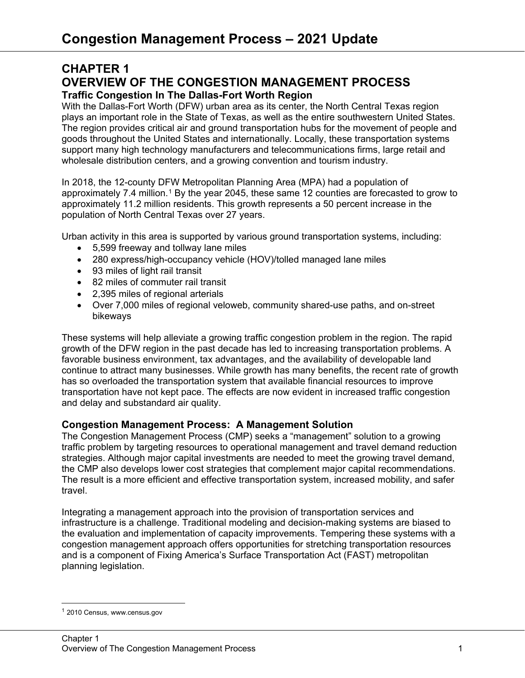# **CHAPTER 1 OVERVIEW OF THE CONGESTION MANAGEMENT PROCESS Traffic Congestion In The Dallas-Fort Worth Region**

With the Dallas-Fort Worth (DFW) urban area as its center, the North Central Texas region plays an important role in the State of Texas, as well as the entire southwestern United States. The region provides critical air and ground transportation hubs for the movement of people and goods throughout the United States and internationally. Locally, these transportation systems support many high technology manufacturers and telecommunications firms, large retail and wholesale distribution centers, and a growing convention and tourism industry.

In 2018, the 12-county DFW Metropolitan Planning Area (MPA) had a population of approximately 7.4 million.<sup>[1](#page-0-0)</sup> By the year 2045, these same 12 counties are forecasted to grow to approximately 11.2 million residents. This growth represents a 50 percent increase in the population of North Central Texas over 27 years.

Urban activity in this area is supported by various ground transportation systems, including:

- 5,599 freeway and tollway lane miles
- 280 express/high-occupancy vehicle (HOV)/tolled managed lane miles
- 93 miles of light rail transit
- 82 miles of commuter rail transit
- 2,395 miles of regional arterials
- Over 7,000 miles of regional veloweb, community shared-use paths, and on-street bikeways

These systems will help alleviate a growing traffic congestion problem in the region. The rapid growth of the DFW region in the past decade has led to increasing transportation problems. A favorable business environment, tax advantages, and the availability of developable land continue to attract many businesses. While growth has many benefits, the recent rate of growth has so overloaded the transportation system that available financial resources to improve transportation have not kept pace. The effects are now evident in increased traffic congestion and delay and substandard air quality.

# **Congestion Management Process: A Management Solution**

The Congestion Management Process (CMP) seeks a "management" solution to a growing traffic problem by targeting resources to operational management and travel demand reduction strategies. Although major capital investments are needed to meet the growing travel demand, the CMP also develops lower cost strategies that complement major capital recommendations. The result is a more efficient and effective transportation system, increased mobility, and safer travel.

Integrating a management approach into the provision of transportation services and infrastructure is a challenge. Traditional modeling and decision-making systems are biased to the evaluation and implementation of capacity improvements. Tempering these systems with a congestion management approach offers opportunities for stretching transportation resources and is a component of Fixing America's Surface Transportation Act (FAST) metropolitan planning legislation.

<span id="page-0-0"></span><sup>1</sup> 2010 Census, www.census.gov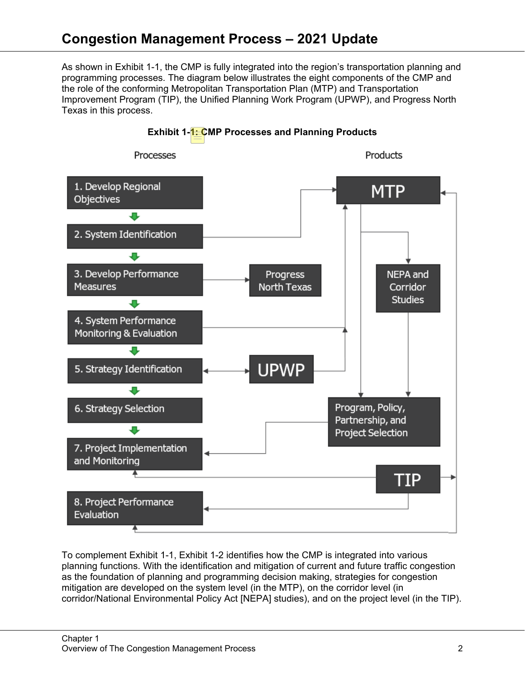As shown in Exhibit 1-1, the CMP is fully integrated into the region's transportation planning and programming processes. The diagram below illustrates the eight components of the CMP and the role of the conforming Metropolitan Transportation Plan (MTP) and Transportation Improvement Program (TIP), the Unified Planning Work Program (UPWP), and Progress North Texas in this process.



To complement Exhibit 1-1, Exhibit 1-2 identifies how the CMP is integrated into various planning functions. With the identification and mitigation of current and future traffic congestion as the foundation of planning and programming decision making, strategies for congestion mitigation are developed on the system level (in the MTP), on the corridor level (in corridor/National Environmental Policy Act [NEPA] studies), and on the project level (in the TIP).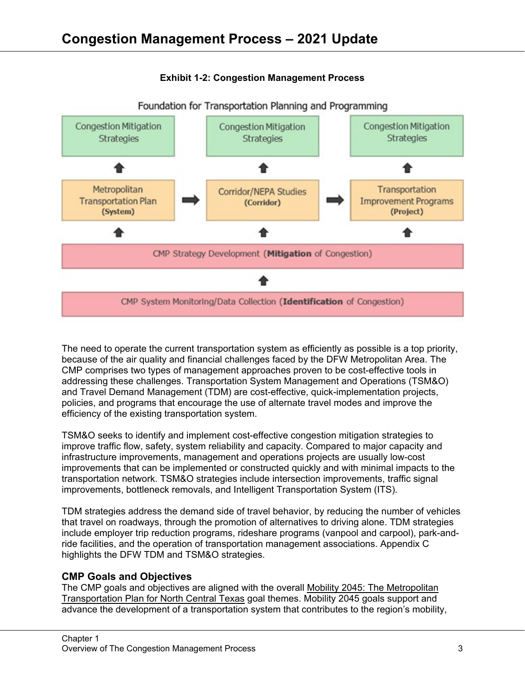

# **Exhibit 1-2: Congestion Management Process**

The need to operate the current transportation system as efficiently as possible is a top priority, because of the air quality and financial challenges faced by the DFW Metropolitan Area. The CMP comprises two types of management approaches proven to be cost-effective tools in addressing these challenges. Transportation System Management and Operations (TSM&O) and Travel Demand Management (TDM) are cost-effective, quick-implementation projects, policies, and programs that encourage the use of alternate travel modes and improve the efficiency of the existing transportation system.

TSM&O seeks to identify and implement cost-effective congestion mitigation strategies to improve traffic flow, safety, system reliability and capacity. Compared to major capacity and infrastructure improvements, management and operations projects are usually low-cost improvements that can be implemented or constructed quickly and with minimal impacts to the transportation network. TSM&O strategies include intersection improvements, traffic signal improvements, bottleneck removals, and Intelligent Transportation System (ITS).

TDM strategies address the demand side of travel behavior, by reducing the number of vehicles that travel on roadways, through the promotion of alternatives to driving alone. TDM strategies include employer trip reduction programs, rideshare programs (vanpool and carpool), park-andride facilities, and the operation of transportation management associations. Appendix C highlights the DFW TDM and TSM&O strategies.

# **CMP Goals and Objectives**

The CMP goals and objectives are aligned with the overall Mobility 2045: The Metropolitan Transportation Plan for North Central Texas goal themes. Mobility 2045 goals support and advance the development of a transportation system that contributes to the region's mobility,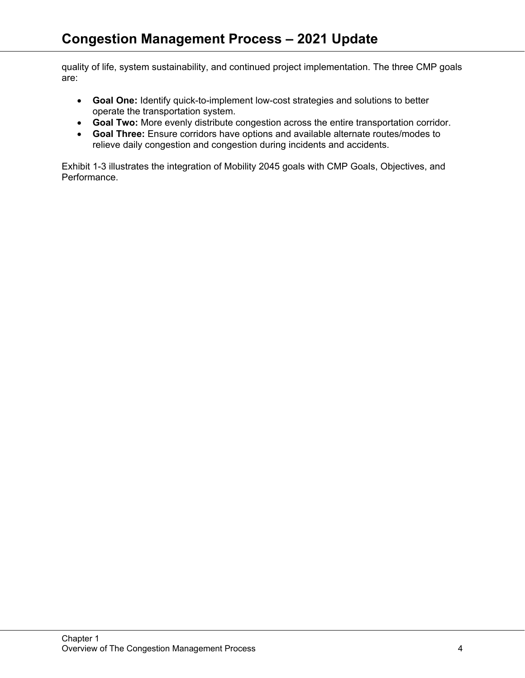quality of life, system sustainability, and continued project implementation. The three CMP goals are:

- **Goal One:** Identify quick-to-implement low-cost strategies and solutions to better operate the transportation system.
- **Goal Two:** More evenly distribute congestion across the entire transportation corridor.
- **Goal Three:** Ensure corridors have options and available alternate routes/modes to relieve daily congestion and congestion during incidents and accidents.

Exhibit 1-3 illustrates the integration of Mobility 2045 goals with CMP Goals, Objectives, and Performance.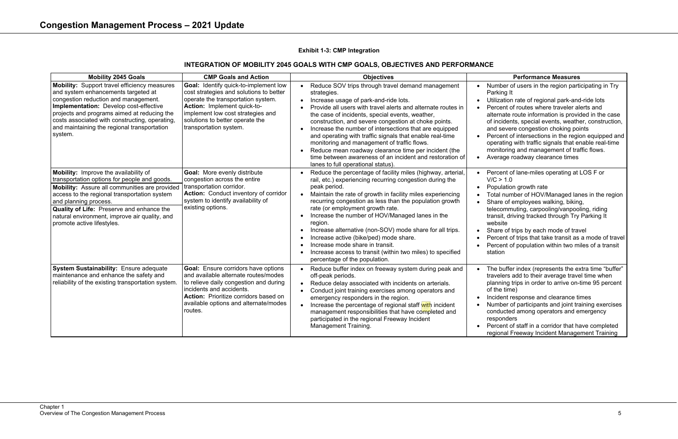# **Performance Measures**

- nber of users in the region participating in Try king It
- zation rate of regional park-and-ride lots cent of routes where traveler alerts and
- rnate route information is provided in the case
- ncidents, special events, weather, construction,
- severe congestion choking points
- cent of intersections in the region equipped and rating with traffic signals that enable real-time
- hitoring and management of traffic flows.
- rage roadway clearance times
- cent of lane-miles operating at LOS F or  $= 1.0$
- ulation growth rate
- al number of HOV/Managed lanes in the region re of employees walking, biking,
- commuting, carpooling/vanpooling, riding isit, driving tracked through Try Parking It psite
- are of trips by each mode of travel
- cent of trips that take transit as a mode of travel cent of population within two miles of a transit ion
- buffer index (represents the extra time "buffer" elers add to their average travel time when ning trips in order to arrive on-time 95 percent  $ne$  time)
- dent response and clearance times
- nber of participants and joint training exercises ducted among operators and emergency oonders
- cent of staff in a corridor that have completed onal Freeway Incident Management Training

## **Exhibit 1-3: CMP Integration**

# **INTEGRATION OF MOBILITY 2045 GOALS WITH CMP GOALS, OBJECTIVES AND PERFORMANCE**

| <b>Mobility 2045 Goals</b>                                                                                                                                                                                                                                                                                                                         | <b>CMP Goals and Action</b>                                                                                                                                                                                                                                    | <b>Objectives</b>                                                                                                                                                                                                                                                                                                                                                                                                                                                                                                                                                                                                                             |                                                                                                                       |
|----------------------------------------------------------------------------------------------------------------------------------------------------------------------------------------------------------------------------------------------------------------------------------------------------------------------------------------------------|----------------------------------------------------------------------------------------------------------------------------------------------------------------------------------------------------------------------------------------------------------------|-----------------------------------------------------------------------------------------------------------------------------------------------------------------------------------------------------------------------------------------------------------------------------------------------------------------------------------------------------------------------------------------------------------------------------------------------------------------------------------------------------------------------------------------------------------------------------------------------------------------------------------------------|-----------------------------------------------------------------------------------------------------------------------|
| <b>Mobility:</b> Support travel efficiency measures<br>and system enhancements targeted at<br>congestion reduction and management.<br>Implementation: Develop cost-effective<br>projects and programs aimed at reducing the<br>costs associated with constructing, operating,<br>and maintaining the regional transportation<br>system.            | Goal: Identify quick-to-implement low<br>cost strategies and solutions to better<br>operate the transportation system.<br><b>Action: Implement quick-to-</b><br>implement low cost strategies and<br>solutions to better operate the<br>transportation system. | Reduce SOV trips through travel demand management<br>$\bullet$<br>strategies.<br>Increase usage of park-and-ride lots.<br>$\bullet$<br>Provide all users with travel alerts and alternate routes in<br>the case of incidents, special events, weather,<br>construction, and severe congestion at choke points.<br>Increase the number of intersections that are equipped<br>and operating with traffic signals that enable real-time<br>monitoring and management of traffic flows.<br>Reduce mean roadway clearance time per incident (the<br>time between awareness of an incident and restoration of<br>lanes to full operational status). | Nun<br>$\bullet$<br>Park<br><b>Utili:</b><br>Pero<br>alter<br>of in<br>and<br>Pero<br>oper<br>mon<br>Ave<br>$\bullet$ |
| Mobility: Improve the availability of<br>transportation options for people and goods.<br>Mobility: Assure all communities are provided<br>access to the regional transportation system<br>and planning process.<br><b>Quality of Life: Preserve and enhance the</b><br>natural environment, improve air quality, and<br>promote active lifestyles. | <b>Goal: More evenly distribute</b><br>congestion across the entire<br>transportation corridor.<br>Action: Conduct inventory of corridor<br>system to identify availability of<br>existing options.                                                            | Reduce the percentage of facility miles (highway, arterial,<br>rail, etc.) experiencing recurring congestion during the<br>peak period.<br>Maintain the rate of growth in facility miles experiencing<br>$\bullet$<br>recurring congestion as less than the population growth<br>rate (or employment growth rate.<br>Increase the number of HOV/Managed lanes in the<br>region.<br>Increase alternative (non-SOV) mode share for all trips.<br>Increase active (bike/ped) mode share.<br>Increase mode share in transit.<br>Increase access to transit (within two miles) to specified<br>percentage of the population.                       | Pero<br>$\bullet$<br>V/C<br>Pop<br>Tota<br>Sha<br>teled<br>tran<br>web<br>Sha<br>Pero<br>Pero<br>stati                |
| System Sustainability: Ensure adequate<br>maintenance and enhance the safety and<br>reliability of the existing transportation system.                                                                                                                                                                                                             | <b>Goal:</b> Ensure corridors have options<br>and available alternate routes/modes<br>to relieve daily congestion and during<br>incidents and accidents.<br><b>Action:</b> Prioritize corridors based on<br>available options and alternate/modes<br>routes.   | Reduce buffer index on freeway system during peak and<br>$\bullet$<br>off-peak periods.<br>Reduce delay associated with incidents on arterials.<br>$\bullet$<br>Conduct joint training exercises among operators and<br>emergency responders in the region.<br>Increase the percentage of regional staff with incident<br>$\bullet$<br>management responsibilities that have completed and<br>participated in the regional Freeway Incident<br>Management Training.                                                                                                                                                                           | The<br>$\bullet$<br>trav<br>plan<br>of th<br>Incio<br>Nun<br>con<br>resp<br>Pero<br>regi                              |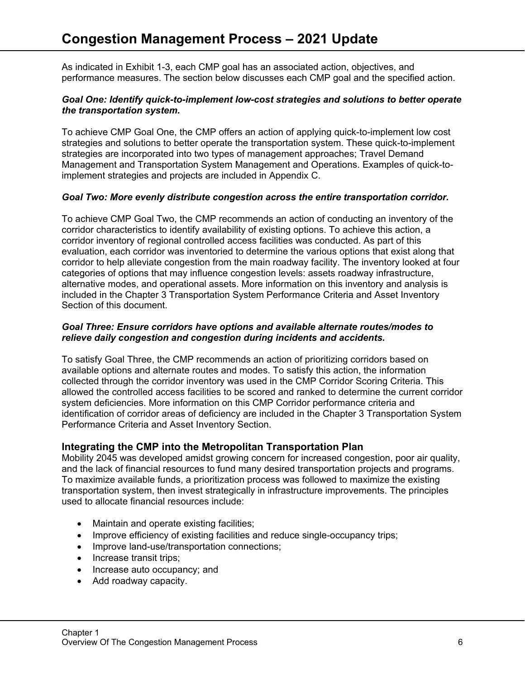As indicated in Exhibit 1-3, each CMP goal has an associated action, objectives, and performance measures. The section below discusses each CMP goal and the specified action.

#### *Goal One: Identify quick-to-implement low-cost strategies and solutions to better operate the transportation system.*

To achieve CMP Goal One, the CMP offers an action of applying quick-to-implement low cost strategies and solutions to better operate the transportation system. These quick-to-implement strategies are incorporated into two types of management approaches; Travel Demand Management and Transportation System Management and Operations. Examples of quick-toimplement strategies and projects are included in Appendix C.

## *Goal Two: More evenly distribute congestion across the entire transportation corridor.*

To achieve CMP Goal Two, the CMP recommends an action of conducting an inventory of the corridor characteristics to identify availability of existing options. To achieve this action, a corridor inventory of regional controlled access facilities was conducted. As part of this evaluation, each corridor was inventoried to determine the various options that exist along that corridor to help alleviate congestion from the main roadway facility. The inventory looked at four categories of options that may influence congestion levels: assets roadway infrastructure, alternative modes, and operational assets. More information on this inventory and analysis is included in the Chapter 3 Transportation System Performance Criteria and Asset Inventory Section of this document.

#### *Goal Three: Ensure corridors have options and available alternate routes/modes to relieve daily congestion and congestion during incidents and accidents.*

To satisfy Goal Three, the CMP recommends an action of prioritizing corridors based on available options and alternate routes and modes. To satisfy this action, the information collected through the corridor inventory was used in the CMP Corridor Scoring Criteria. This allowed the controlled access facilities to be scored and ranked to determine the current corridor system deficiencies. More information on this CMP Corridor performance criteria and identification of corridor areas of deficiency are included in the Chapter 3 Transportation System Performance Criteria and Asset Inventory Section.

# **Integrating the CMP into the Metropolitan Transportation Plan**

Mobility 2045 was developed amidst growing concern for increased congestion, poor air quality, and the lack of financial resources to fund many desired transportation projects and programs. To maximize available funds, a prioritization process was followed to maximize the existing transportation system, then invest strategically in infrastructure improvements. The principles used to allocate financial resources include:

- Maintain and operate existing facilities;
- Improve efficiency of existing facilities and reduce single-occupancy trips;
- Improve land-use/transportation connections;
- Increase transit trips;
- Increase auto occupancy; and
- Add roadway capacity.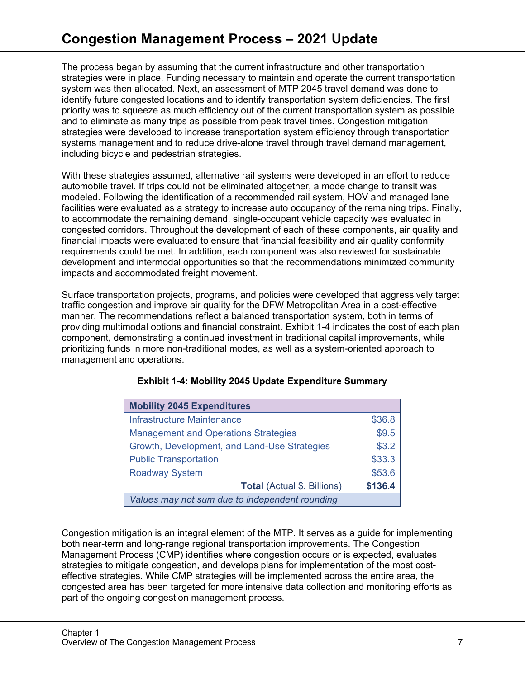The process began by assuming that the current infrastructure and other transportation strategies were in place. Funding necessary to maintain and operate the current transportation system was then allocated. Next, an assessment of MTP 2045 travel demand was done to identify future congested locations and to identify transportation system deficiencies. The first priority was to squeeze as much efficiency out of the current transportation system as possible and to eliminate as many trips as possible from peak travel times. Congestion mitigation strategies were developed to increase transportation system efficiency through transportation systems management and to reduce drive-alone travel through travel demand management, including bicycle and pedestrian strategies.

With these strategies assumed, alternative rail systems were developed in an effort to reduce automobile travel. If trips could not be eliminated altogether, a mode change to transit was modeled. Following the identification of a recommended rail system, HOV and managed lane facilities were evaluated as a strategy to increase auto occupancy of the remaining trips. Finally, to accommodate the remaining demand, single-occupant vehicle capacity was evaluated in congested corridors. Throughout the development of each of these components, air quality and financial impacts were evaluated to ensure that financial feasibility and air quality conformity requirements could be met. In addition, each component was also reviewed for sustainable development and intermodal opportunities so that the recommendations minimized community impacts and accommodated freight movement.

Surface transportation projects, programs, and policies were developed that aggressively target traffic congestion and improve air quality for the DFW Metropolitan Area in a cost-effective manner. The recommendations reflect a balanced transportation system, both in terms of providing multimodal options and financial constraint. Exhibit 1-4 indicates the cost of each plan component, demonstrating a continued investment in traditional capital improvements, while prioritizing funds in more non-traditional modes, as well as a system-oriented approach to management and operations.

| <b>Mobility 2045 Expenditures</b>              |         |  |  |
|------------------------------------------------|---------|--|--|
| <b>Infrastructure Maintenance</b>              | \$36.8  |  |  |
| <b>Management and Operations Strategies</b>    | \$9.5   |  |  |
| Growth, Development, and Land-Use Strategies   | \$3.2   |  |  |
| <b>Public Transportation</b>                   | \$33.3  |  |  |
| <b>Roadway System</b>                          | \$53.6  |  |  |
| <b>Total (Actual \$, Billions)</b>             | \$136.4 |  |  |
| Values may not sum due to independent rounding |         |  |  |

# **Exhibit 1-4: Mobility 2045 Update Expenditure Summary**

Congestion mitigation is an integral element of the MTP. It serves as a guide for implementing both near-term and long-range regional transportation improvements. The Congestion Management Process (CMP) identifies where congestion occurs or is expected, evaluates strategies to mitigate congestion, and develops plans for implementation of the most costeffective strategies. While CMP strategies will be implemented across the entire area, the congested area has been targeted for more intensive data collection and monitoring efforts as part of the ongoing congestion management process.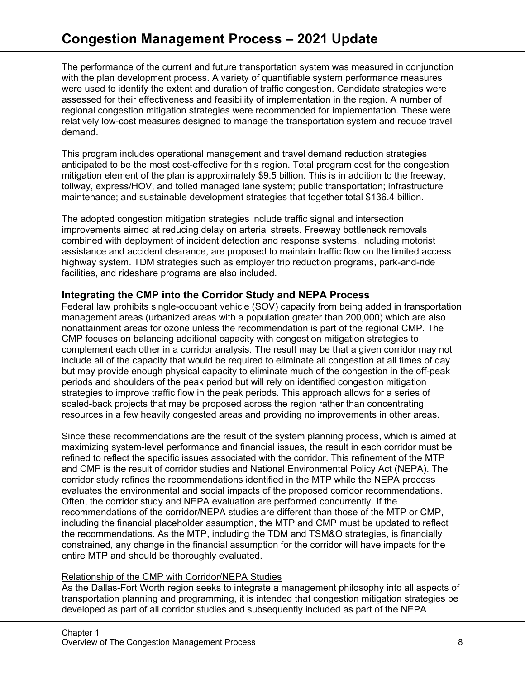The performance of the current and future transportation system was measured in conjunction with the plan development process. A variety of quantifiable system performance measures were used to identify the extent and duration of traffic congestion. Candidate strategies were assessed for their effectiveness and feasibility of implementation in the region. A number of regional congestion mitigation strategies were recommended for implementation. These were relatively low-cost measures designed to manage the transportation system and reduce travel demand.

This program includes operational management and travel demand reduction strategies anticipated to be the most cost-effective for this region. Total program cost for the congestion mitigation element of the plan is approximately \$9.5 billion. This is in addition to the freeway, tollway, express/HOV, and tolled managed lane system; public transportation; infrastructure maintenance; and sustainable development strategies that together total \$136.4 billion.

The adopted congestion mitigation strategies include traffic signal and intersection improvements aimed at reducing delay on arterial streets. Freeway bottleneck removals combined with deployment of incident detection and response systems, including motorist assistance and accident clearance, are proposed to maintain traffic flow on the limited access highway system. TDM strategies such as employer trip reduction programs, park-and-ride facilities, and rideshare programs are also included.

# **Integrating the CMP into the Corridor Study and NEPA Process**

Federal law prohibits single-occupant vehicle (SOV) capacity from being added in transportation management areas (urbanized areas with a population greater than 200,000) which are also nonattainment areas for ozone unless the recommendation is part of the regional CMP. The CMP focuses on balancing additional capacity with congestion mitigation strategies to complement each other in a corridor analysis. The result may be that a given corridor may not include all of the capacity that would be required to eliminate all congestion at all times of day but may provide enough physical capacity to eliminate much of the congestion in the off-peak periods and shoulders of the peak period but will rely on identified congestion mitigation strategies to improve traffic flow in the peak periods. This approach allows for a series of scaled-back projects that may be proposed across the region rather than concentrating resources in a few heavily congested areas and providing no improvements in other areas.

Since these recommendations are the result of the system planning process, which is aimed at maximizing system-level performance and financial issues, the result in each corridor must be refined to reflect the specific issues associated with the corridor. This refinement of the MTP and CMP is the result of corridor studies and National Environmental Policy Act (NEPA). The corridor study refines the recommendations identified in the MTP while the NEPA process evaluates the environmental and social impacts of the proposed corridor recommendations. Often, the corridor study and NEPA evaluation are performed concurrently. If the recommendations of the corridor/NEPA studies are different than those of the MTP or CMP, including the financial placeholder assumption, the MTP and CMP must be updated to reflect the recommendations. As the MTP, including the TDM and TSM&O strategies, is financially constrained, any change in the financial assumption for the corridor will have impacts for the entire MTP and should be thoroughly evaluated.

# Relationship of the CMP with Corridor/NEPA Studies

As the Dallas-Fort Worth region seeks to integrate a management philosophy into all aspects of transportation planning and programming, it is intended that congestion mitigation strategies be developed as part of all corridor studies and subsequently included as part of the NEPA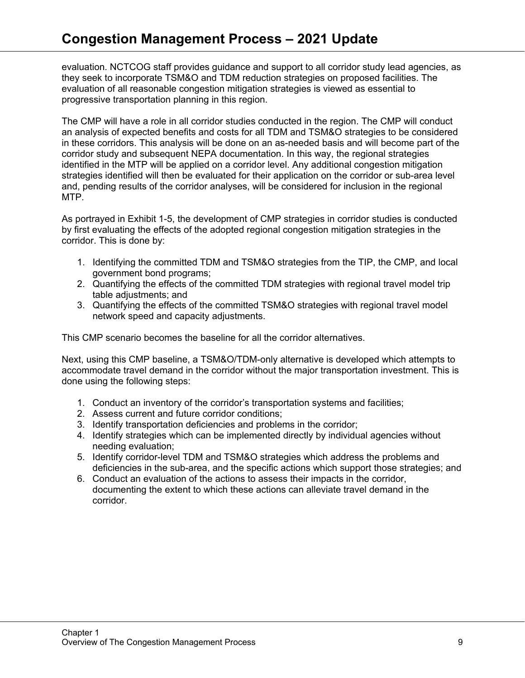evaluation. NCTCOG staff provides guidance and support to all corridor study lead agencies, as they seek to incorporate TSM&O and TDM reduction strategies on proposed facilities. The evaluation of all reasonable congestion mitigation strategies is viewed as essential to progressive transportation planning in this region.

The CMP will have a role in all corridor studies conducted in the region. The CMP will conduct an analysis of expected benefits and costs for all TDM and TSM&O strategies to be considered in these corridors. This analysis will be done on an as-needed basis and will become part of the corridor study and subsequent NEPA documentation. In this way, the regional strategies identified in the MTP will be applied on a corridor level. Any additional congestion mitigation strategies identified will then be evaluated for their application on the corridor or sub-area level and, pending results of the corridor analyses, will be considered for inclusion in the regional MTP.

As portrayed in Exhibit 1-5, the development of CMP strategies in corridor studies is conducted by first evaluating the effects of the adopted regional congestion mitigation strategies in the corridor. This is done by:

- 1. Identifying the committed TDM and TSM&O strategies from the TIP, the CMP, and local government bond programs;
- 2. Quantifying the effects of the committed TDM strategies with regional travel model trip table adjustments; and
- 3. Quantifying the effects of the committed TSM&O strategies with regional travel model network speed and capacity adjustments.

This CMP scenario becomes the baseline for all the corridor alternatives.

Next, using this CMP baseline, a TSM&O/TDM-only alternative is developed which attempts to accommodate travel demand in the corridor without the major transportation investment. This is done using the following steps:

- 1. Conduct an inventory of the corridor's transportation systems and facilities;
- 2. Assess current and future corridor conditions;
- 3. Identify transportation deficiencies and problems in the corridor;
- 4. Identify strategies which can be implemented directly by individual agencies without needing evaluation;
- 5. Identify corridor-level TDM and TSM&O strategies which address the problems and deficiencies in the sub-area, and the specific actions which support those strategies; and
- 6. Conduct an evaluation of the actions to assess their impacts in the corridor, documenting the extent to which these actions can alleviate travel demand in the corridor.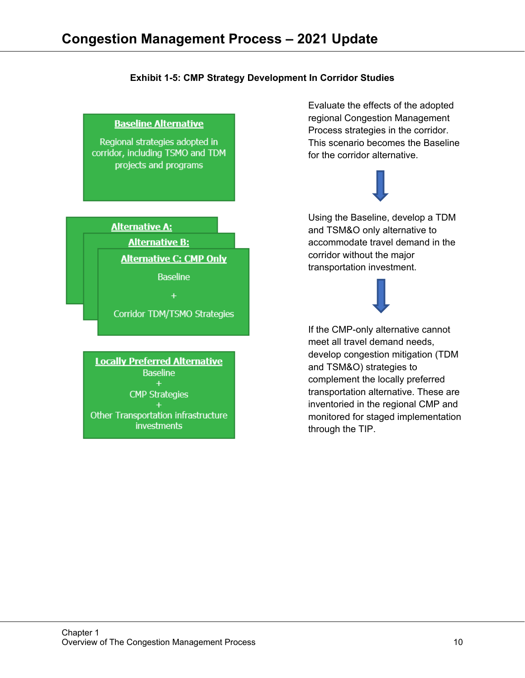#### **Exhibit 1-5: CMP Strategy Development In Corridor Studies**



Evaluate the effects of the adopted regional Congestion Management Process strategies in the corridor. This scenario becomes the Baseline for the corridor alternative.



Using the Baseline, develop a TDM and TSM&O only alternative to accommodate travel demand in the corridor without the major transportation investment.

Corridor TDM/TSMO Strategies

**Locally Preferred Alternative Baseline CMP Strategies** 

 $+$ Other Transportation infrastructure *investments* 



If the CMP-only alternative cannot meet all travel demand needs, develop congestion mitigation (TDM and TSM&O) strategies to complement the locally preferred transportation alternative. These are inventoried in the regional CMP and monitored for staged implementation through the TIP.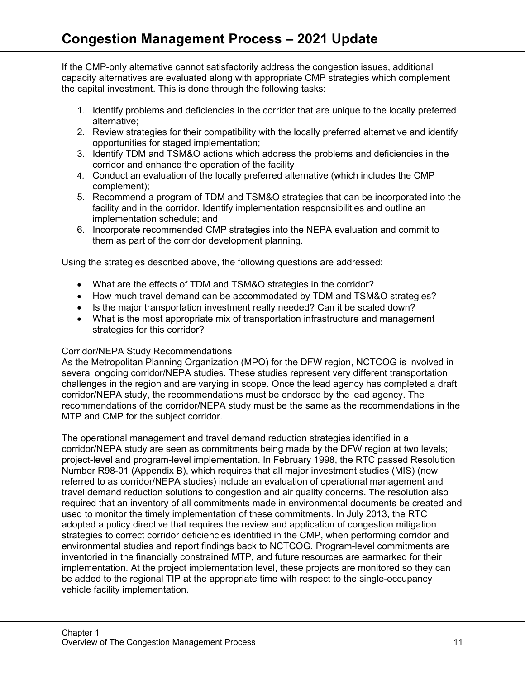If the CMP-only alternative cannot satisfactorily address the congestion issues, additional capacity alternatives are evaluated along with appropriate CMP strategies which complement the capital investment. This is done through the following tasks:

- 1. Identify problems and deficiencies in the corridor that are unique to the locally preferred alternative;
- 2. Review strategies for their compatibility with the locally preferred alternative and identify opportunities for staged implementation;
- 3. Identify TDM and TSM&O actions which address the problems and deficiencies in the corridor and enhance the operation of the facility
- 4. Conduct an evaluation of the locally preferred alternative (which includes the CMP complement);
- 5. Recommend a program of TDM and TSM&O strategies that can be incorporated into the facility and in the corridor. Identify implementation responsibilities and outline an implementation schedule; and
- 6. Incorporate recommended CMP strategies into the NEPA evaluation and commit to them as part of the corridor development planning.

Using the strategies described above, the following questions are addressed:

- What are the effects of TDM and TSM&O strategies in the corridor?
- How much travel demand can be accommodated by TDM and TSM&O strategies?
- Is the major transportation investment really needed? Can it be scaled down?
- What is the most appropriate mix of transportation infrastructure and management strategies for this corridor?

# Corridor/NEPA Study Recommendations

As the Metropolitan Planning Organization (MPO) for the DFW region, NCTCOG is involved in several ongoing corridor/NEPA studies. These studies represent very different transportation challenges in the region and are varying in scope. Once the lead agency has completed a draft corridor/NEPA study, the recommendations must be endorsed by the lead agency. The recommendations of the corridor/NEPA study must be the same as the recommendations in the MTP and CMP for the subject corridor.

The operational management and travel demand reduction strategies identified in a corridor/NEPA study are seen as commitments being made by the DFW region at two levels; project-level and program-level implementation. In February 1998, the RTC passed Resolution Number R98-01 (Appendix B), which requires that all major investment studies (MIS) (now referred to as corridor/NEPA studies) include an evaluation of operational management and travel demand reduction solutions to congestion and air quality concerns. The resolution also required that an inventory of all commitments made in environmental documents be created and used to monitor the timely implementation of these commitments. In July 2013, the RTC adopted a policy directive that requires the review and application of congestion mitigation strategies to correct corridor deficiencies identified in the CMP, when performing corridor and environmental studies and report findings back to NCTCOG. Program-level commitments are inventoried in the financially constrained MTP, and future resources are earmarked for their implementation. At the project implementation level, these projects are monitored so they can be added to the regional TIP at the appropriate time with respect to the single-occupancy vehicle facility implementation.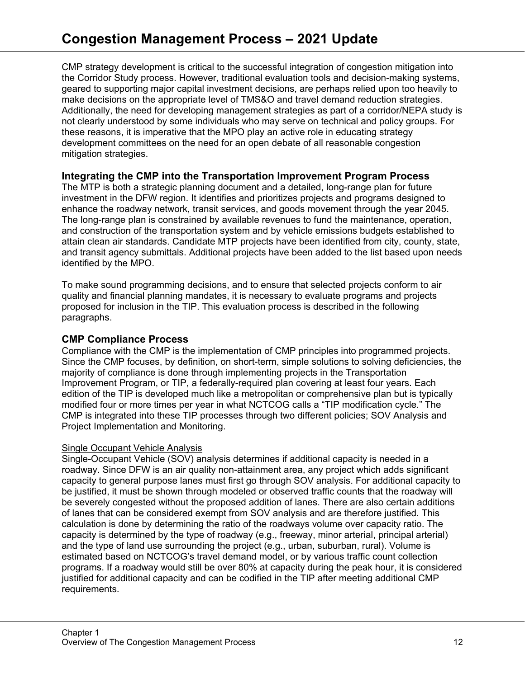CMP strategy development is critical to the successful integration of congestion mitigation into the Corridor Study process. However, traditional evaluation tools and decision-making systems, geared to supporting major capital investment decisions, are perhaps relied upon too heavily to make decisions on the appropriate level of TMS&O and travel demand reduction strategies. Additionally, the need for developing management strategies as part of a corridor/NEPA study is not clearly understood by some individuals who may serve on technical and policy groups. For these reasons, it is imperative that the MPO play an active role in educating strategy development committees on the need for an open debate of all reasonable congestion mitigation strategies.

# **Integrating the CMP into the Transportation Improvement Program Process**

The MTP is both a strategic planning document and a detailed, long-range plan for future investment in the DFW region. It identifies and prioritizes projects and programs designed to enhance the roadway network, transit services, and goods movement through the year 2045. The long-range plan is constrained by available revenues to fund the maintenance, operation, and construction of the transportation system and by vehicle emissions budgets established to attain clean air standards. Candidate MTP projects have been identified from city, county, state, and transit agency submittals. Additional projects have been added to the list based upon needs identified by the MPO.

To make sound programming decisions, and to ensure that selected projects conform to air quality and financial planning mandates, it is necessary to evaluate programs and projects proposed for inclusion in the TIP. This evaluation process is described in the following paragraphs.

# **CMP Compliance Process**

Compliance with the CMP is the implementation of CMP principles into programmed projects. Since the CMP focuses, by definition, on short-term, simple solutions to solving deficiencies, the majority of compliance is done through implementing projects in the Transportation Improvement Program, or TIP, a federally-required plan covering at least four years. Each edition of the TIP is developed much like a metropolitan or comprehensive plan but is typically modified four or more times per year in what NCTCOG calls a "TIP modification cycle." The CMP is integrated into these TIP processes through two different policies; SOV Analysis and Project Implementation and Monitoring.

# Single Occupant Vehicle Analysis

Single-Occupant Vehicle (SOV) analysis determines if additional capacity is needed in a roadway. Since DFW is an air quality non-attainment area, any project which adds significant capacity to general purpose lanes must first go through SOV analysis. For additional capacity to be justified, it must be shown through modeled or observed traffic counts that the roadway will be severely congested without the proposed addition of lanes. There are also certain additions of lanes that can be considered exempt from SOV analysis and are therefore justified. This calculation is done by determining the ratio of the roadways volume over capacity ratio. The capacity is determined by the type of roadway (e.g., freeway, minor arterial, principal arterial) and the type of land use surrounding the project (e.g., urban, suburban, rural). Volume is estimated based on NCTCOG's travel demand model, or by various traffic count collection programs. If a roadway would still be over 80% at capacity during the peak hour, it is considered justified for additional capacity and can be codified in the TIP after meeting additional CMP requirements.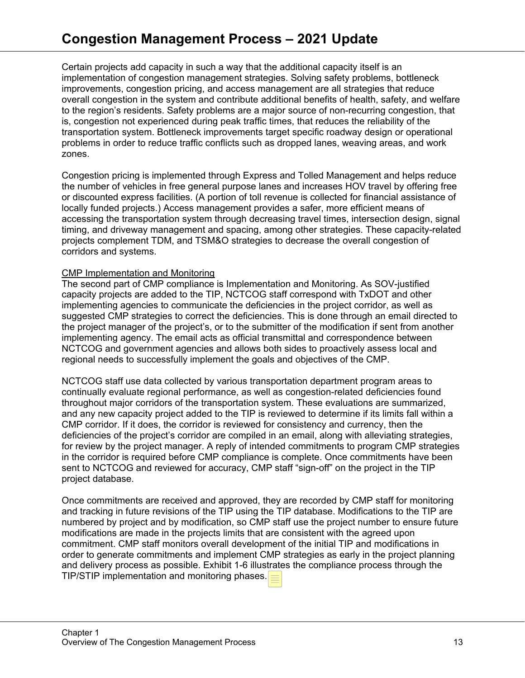Certain projects add capacity in such a way that the additional capacity itself is an implementation of congestion management strategies. Solving safety problems, bottleneck improvements, congestion pricing, and access management are all strategies that reduce overall congestion in the system and contribute additional benefits of health, safety, and welfare to the region's residents. Safety problems are a major source of non-recurring congestion, that is, congestion not experienced during peak traffic times, that reduces the reliability of the transportation system. Bottleneck improvements target specific roadway design or operational problems in order to reduce traffic conflicts such as dropped lanes, weaving areas, and work zones.

Congestion pricing is implemented through Express and Tolled Management and helps reduce the number of vehicles in free general purpose lanes and increases HOV travel by offering free or discounted express facilities. (A portion of toll revenue is collected for financial assistance of locally funded projects.) Access management provides a safer, more efficient means of accessing the transportation system through decreasing travel times, intersection design, signal timing, and driveway management and spacing, among other strategies. These capacity-related projects complement TDM, and TSM&O strategies to decrease the overall congestion of corridors and systems.

#### CMP Implementation and Monitoring

The second part of CMP compliance is Implementation and Monitoring. As SOV-justified capacity projects are added to the TIP, NCTCOG staff correspond with TxDOT and other implementing agencies to communicate the deficiencies in the project corridor, as well as suggested CMP strategies to correct the deficiencies. This is done through an email directed to the project manager of the project's, or to the submitter of the modification if sent from another implementing agency. The email acts as official transmittal and correspondence between NCTCOG and government agencies and allows both sides to proactively assess local and regional needs to successfully implement the goals and objectives of the CMP.

NCTCOG staff use data collected by various transportation department program areas to continually evaluate regional performance, as well as congestion-related deficiencies found throughout major corridors of the transportation system. These evaluations are summarized, and any new capacity project added to the TIP is reviewed to determine if its limits fall within a CMP corridor. If it does, the corridor is reviewed for consistency and currency, then the deficiencies of the project's corridor are compiled in an email, along with alleviating strategies, for review by the project manager. A reply of intended commitments to program CMP strategies in the corridor is required before CMP compliance is complete. Once commitments have been sent to NCTCOG and reviewed for accuracy, CMP staff "sign-off" on the project in the TIP project database.

Once commitments are received and approved, they are recorded by CMP staff for monitoring and tracking in future revisions of the TIP using the TIP database. Modifications to the TIP are numbered by project and by modification, so CMP staff use the project number to ensure future modifications are made in the projects limits that are consistent with the agreed upon commitment. CMP staff monitors overall development of the initial TIP and modifications in order to generate commitments and implement CMP strategies as early in the project planning and delivery process as possible. Exhibit 1-6 illustrates the compliance process through the TIP/STIP implementation and monitoring phases.  $=$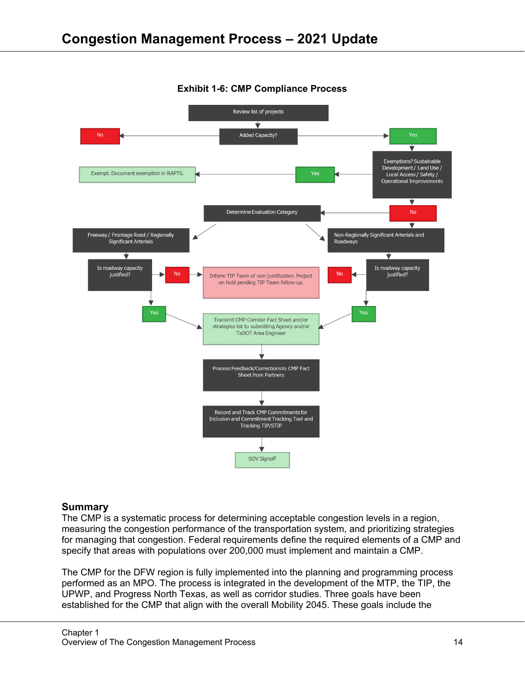

# **Exhibit 1-6: CMP Compliance Process**

#### **Summary**

The CMP is a systematic process for determining acceptable congestion levels in a region, measuring the congestion performance of the transportation system, and prioritizing strategies for managing that congestion. Federal requirements define the required elements of a CMP and specify that areas with populations over 200,000 must implement and maintain a CMP.

The CMP for the DFW region is fully implemented into the planning and programming process performed as an MPO. The process is integrated in the development of the MTP, the TIP, the UPWP, and Progress North Texas, as well as corridor studies. Three goals have been established for the CMP that align with the overall Mobility 2045. These goals include the